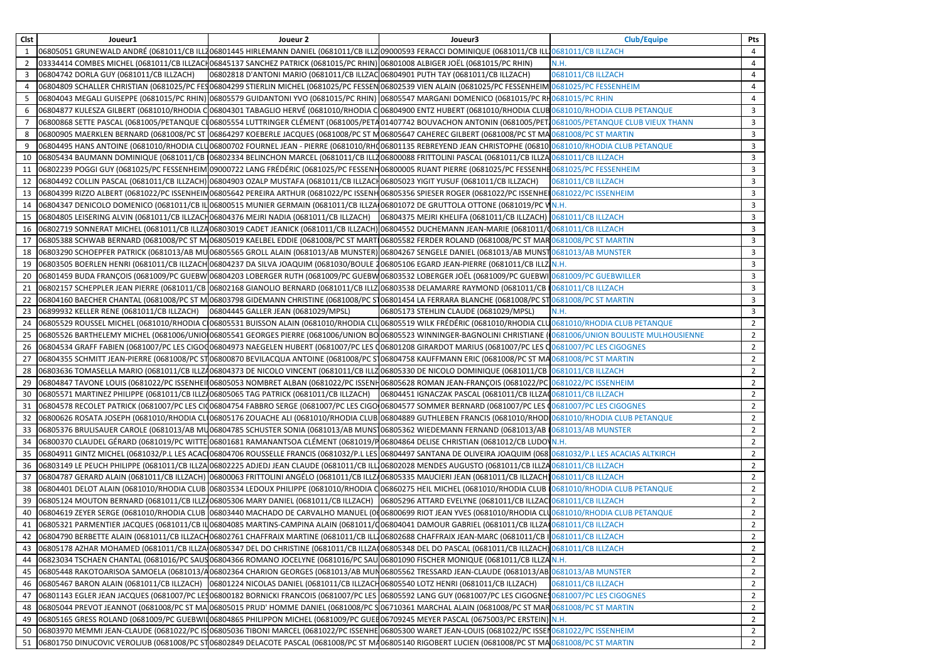| 06805051 GRUNEWALD ANDRÉ (0681011/CB ILL706801445 HIRLEMANN DANIEL (0681011/CB ILLZ09000593 FERACCI DOMINIQUE (0681011/CB ILL10681011/CB ILL7ACH<br>4<br>1<br>03334414 COMBES MICHEL (0681011/CB ILLZACH06845137 SANCHEZ PATRICK (0681015/PC RHIN) 06801008 ALBIGER JOËL (0681015/PC RHIN)<br>N.H.<br>4<br>2<br>06802818 D'ANTONI MARIO (0681011/CB ILLZAC 06804901 PUTH TAY (0681011/CB ILLZACH)<br>06804742 DORLA GUY (0681011/CB ILLZACH)<br>0681011/CB ILLZACH<br>3<br>4<br>06804809 SCHALLER CHRISTIAN (0681025/PC FES06804299 STIERLIN MICHEL (0681025/PC FESSEN 06802539 VIEN ALAIN (0681025/PC FESSENHEIM 0681025/PC FESSENHEIM<br>4<br>06804043 MEGALI GUISEPPE (0681015/PC RHIN) 06805579 GUIDANTONI YVO (0681015/PC RHIN) 06805547 MARGANI DOMENICO (0681015/PC RH0681015/PC RHIN<br>4<br>06804877 KULESZA GILBERT (0681010/RHODIA CO6804301 TABAGLIO HERVÉ (0681010/RHODIA CO6804900 ENTZ HUBERT (0681010/RHODIA CLUBO681010/RHODIA CLUB PETANQUE<br>3<br>6<br>06800868 SETTE PASCAL (0681005/PETANQUE CI06805554 LUTTRINGER CLÉMENT (0681005/PETA01407742 BOUVACHON ANTONIN (0681005/PET10681005/PETANQUE CLUB VIEUX THANN<br>3<br>06800905 MAERKLEN BERNARD (0681008/PC ST 06864297 KOEBERLE JACQUES (0681008/PC ST M06805647 CAHEREC GILBERT (0681008/PC ST MA 0681008/PC ST MARTIN<br>3<br>8<br>06804495 HANS ANTOINE (0681010/RHODIA CLU06800702 FOURNEL JEAN - PIERRE (0681010/RHO06801135 REBREYEND JEAN CHRISTOPHE (068100681010/RHODIA CLUB PETANQUE<br>$\mathbf{3}$<br>9<br>06805434 BAUMANN DOMINIQUE (0681011/CB (06802334 BELINCHON MARCEL (0681011/CB ILL206800088 FRITTOLINI PASCAL (0681011/CB ILLZA 0681011/CB ILLZA 0681011/CB ILLZACH<br>3<br>10<br>06802239 POGGI GUY (0681025/PC FESSENHEIM 09000722 LANG FRÉDÉRIC (0681025/PC FESSENH06800005 RUANT PIERRE (0681025/PC FESSENHE0681025/PC FESSENHEIM<br>3<br>11<br>06804492 COLLIN PASCAL (0681011/CB ILLZACH) 06804903 OZALP MUSTAFA (0681011/CB ILLZACH06805023 YIGIT YUSUF (0681011/CB ILLZACH)<br>0681011/CB ILLZACH<br>3<br>12<br>3<br>06804399 RIZZO ALBERT (0681022/PC ISSENHEIN06805642 PEREIRA ARTHUR (0681022/PC ISSENH06805356 SPIESER ROGER (0681022/PC ISSENHEI0681022/PC ISSENHEIN<br>13<br>06804347 DENICOLO DOMENICO (0681011/CB ILO6800515 MUNIER GERMAIN (0681011/CB ILLZA 06801072 DE GRUTTOLA OTTONE (0681019/PC V N.H.<br>3<br>14<br>06804805 LEISERING ALVIN (0681011/CB ILLZACH06804376 MEJRI NADIA (0681011/CB ILLZACH) 06804375 MEJRI KHELIFA (0681011/CB ILLZACH) 0681011/CB ILLZACH<br>3<br>15<br>06802719 SONNERAT MICHEL (0681011/CB ILLZA06803019 CADET JEANICK (0681011/CB ILLZACH) 06804552 DUCHEMANN JEAN-MARIE (0681011/Q0681011/CB ILLZACH<br>3<br>16<br>06805388 SCHWAB BERNARD (0681008/PC ST M/06805019 KAELBEL EDDIE (0681008/PC ST MART 06805582 FERDER ROLAND (0681008/PC ST MAR 0681008/PC ST MAR 0681008/PC ST MARTIN<br>3<br>17<br>06803290 SCHOEPFER PATRICK (0681013/AB MU 06805565 GROLL ALAIN (0681013/AB MUNSTER) 06804267 SENGELE DANIEL (0681013/AB MUNST 0681013/AB MUNSTER<br>3<br>18<br>06803505 BOERLEN HENRI (0681011/CB ILLZACH 06804237 DA SILVA JOAQUIM (0681030/BOULE 206805106 EGARD JEAN-PIERRE (0681011/CB ILLZ N.H.<br>3<br>19<br>$\mathsf{3}$<br>06801459 BUDA FRANÇOIS (0681009/PC GUEBW 06804203 LOBERGER RUTH (0681009/PC GUEBW 06803532 LOBERGER JOËL (0681009/PC GUEBWI 0681009/PC GUEBWILLER<br>20<br>06802157 SCHEPPLER JEAN PIERRE (0681011/CB 06802168 GIANOLIO BERNARD (0681011/CB ILLZ 06803538 DELAMARRE RAYMOND (0681011/CB 10681011/CB ILLZACH<br>3<br>21<br>06804160 BAECHER CHANTAL (0681008/PC ST M 06803798 GIDEMANN CHRISTINE (0681008/PC ST06801454 LA FERRARA BLANCHE (0681008/PC ST 0681008/PC ST MARTIN<br>3<br>22<br>$\mathbf{3}$<br>06899932 KELLER RENE (0681011/CB ILLZACH)<br>06804445 GALLER JEAN (0681029/MPSL)<br>06805173 STEHLIN CLAUDE (0681029/MPSL)<br>N.H.<br>23<br>06805529 ROUSSEL MICHEL (0681010/RHODIA C 06805531 BUISSON ALAIN (0681010/RHODIA CLU06805519 WILK FRÉDÉRIC (0681010/RHODIA CLU0681010/RHODIA CLUB PETANQUE<br>$\overline{2}$<br>24<br>06805526 BARTHELEMY MICHEL (0681006/UNIO 06805541 GEORGES PIERRE (0681006/UNION BO 06805523 WINNINGER-BAGNOLINI CHRISTIANE ( 0681006/UNION BOULISTE MULHOUSIENNE<br>$\overline{2}$<br>25<br>06804534 GRAFF FABIEN (0681007/PC LES CIGOQ06804973 NAEGELEN HUBERT (0681007/PC LES Q06801208 GIRARDOT MARIUS (0681007/PC LES Q0681007/PC LES CIGOGNES<br>$\overline{2}$<br>26<br>06804355 SCHMITT JEAN-PIERRE (0681008/PC ST06800870 BEVILACQUA ANTOINE (0681008/PC ST06804758 KAUFFMANN ERIC (0681008/PC ST MA0681008/PC ST MARTIN<br>$\overline{2}$<br>27<br>06803636 TOMASELLA MARIO (0681011/CB ILLZ406804373 DE NICOLO VINCENT (0681011/CB ILLZ06805330 DE NICOLO DOMINIQUE (0681011/CB 0681011/CB ILLZACH<br>$\overline{2}$<br>28<br>06804847 TAVONE LOUIS (0681022/PC ISSENHEII 06805053 NOMBRET ALBAN (0681022/PC ISSENH06805628 ROMAN JEAN-FRANÇOIS (0681022/PC 0681022/PC ISSENHEIM<br>$\overline{2}$<br>29<br>06804451 IGNACZAK PASCAL (0681011/CB ILLZA 0681011/CB ILLZACH<br>$\overline{2}$<br>06805571 MARTINEZ PHILIPPE (0681011/CB ILLZ/06805065 TAG PATRICK (0681011/CB ILLZACH)<br>30<br>06804578 RECOLET PATRICK (0681007/PC LES CIO6804754 FABBRO SERGE (0681007/PC LES CIGO 06804577 SOMMER BERNARD (0681007/PC LES 00681007/PC LES CIGOGNES<br>$\overline{2}$<br>31<br>06800626 ROSATA JOSEPH (0681010/RHODIA CLO06805176 ZOUACHE ALI (0681010/RHODIA CLUB 06804889 GUTHLEBEN FRANCIS (0681010/RHOD 0681010/RHODIA CLUB PETANQUE<br>$\mathbf{2}$<br>32<br>06805376 BRULISAUER CAROLE (0681013/AB MU06804785 SCHUSTER SONIA (0681013/AB MUNS 06805362 WIEDEMANN FERNAND (0681013/AB 10681013/AB MUNSTER<br>$\mathbf{2}$<br>33<br>06800370 CLAUDEL GÉRARD (0681019/PC WITTE 06801681 RAMANANTSOA CLÉMENT (0681019/P06804864 DELISE CHRISTIAN (0681012/CB LUDO\N.H.<br>$\overline{2}$<br>34<br>$\overline{2}$<br>06804911 GINTZ MICHEL (0681032/P.L LES ACAC 06804706 ROUSSELLE FRANCIS (0681032/P.L LES 06804497 SANTANA DE OLIVEIRA JOAQUIM (06810681032/P.L LES ACACIAS ALTKIRCH<br>35<br>$\overline{2}$<br>06803149 LE PEUCH PHILIPPE (0681011/CB ILLZA 06802225 ADJEDJ JEAN CLAUDE (0681011/CB ILL 06802028 MENDES AUGUSTO (0681011/CB ILLZA 0681011/CB ILLZACH<br>36<br>06804787 GERARD ALAIN (0681011/CB ILLZACH) 06800063 FRITTOLINI ANGÉLO (0681011/CB ILLZ406805335 MAUCIERI JEAN (0681011/CB ILLZACH) 0681011/CB ILLZACH<br>$\overline{2}$<br>37<br>06804401 DELOT ALAIN (0681010/RHODIA CLUB 06803534 LEDOUX PHILIPPE (0681010/RHODIA C 06860275 HEIL MICHEL (0681010/RHODIA CLUB 0681010/RHODIA CLUB PETANQUE<br>$\overline{2}$<br>38<br>06805124 MOUTON BERNARD (0681011/CB ILLZ/06805306 MARY DANIEL (0681011/CB ILLZACH)<br>06805296 ATTARD EVELYNE (0681011/CB ILLZAC 0681011/CB ILLZACH<br>$\overline{2}$<br>39<br>06804619 ZEYER SERGE (0681010/RHODIA CLUB 06803440 MACHADO DE CARVALHO MANUEL (0006800699 RIOT JEAN YVES (0681010/RHODIA CLU0681010/RHODIA CLUB PETANQUE<br>$\overline{2}$<br>40<br>06805321 PARMENTIER JACQUES (0681011/CB ILO6804085 MARTINS-CAMPINA ALAIN (0681011/Q06804041 DAMOUR GABRIEL (0681011/CB ILLZAQ0681011/CB ILLZACH<br>$\overline{2}$<br>41<br>$\overline{2}$<br>06804790 BERBETTE ALAIN (0681011/CB ILLZACH06802761 CHAFFRAIX MARTINE (0681011/CB ILL106802688 CHAFFRAIX JEAN-MARC (0681011/CB I 0681011/CB I LIZACH<br>42<br>06805178 AZHAR MOHAMED (0681011/CB ILLZA 06805347 DEL DO CHRISTINE (0681011/CB ILLZA 06805348 DEL DO PASCAL (0681011/CB ILLZACH) 0681011/CB ILLZACH<br>$\overline{2}$<br>43<br>06823034 TSCHAEN CHANTAL (0681016/PC SAUS06804366 ROMANO JOCELYNE (0681016/PC SAU 06801090 FISCHER MONIQUE (0681011/CB ILLZA N.H.<br>$\overline{2}$<br>44<br>06805448 RAKOTOARISOA SAMOELA (0681013/406802364 CHARION GEORGES (0681013/AB MUN06805562 TRESSARD JEAN-CLAUDE (0681013/AB 0681013/AB MUNSTER<br>$\overline{2}$<br>45<br>06805467 BARON ALAIN (0681011/CB ILLZACH) 06801224 NICOLAS DANIEL (0681011/CB ILLZACH06805540 LOTZ HENRI (0681011/CB ILLZACH)<br>0681011/CB ILLZACH<br>$\overline{2}$<br>46 | Clst | Joueur1 | Joueur 2 | Joueur3 | <b>Club/Equipe</b> | Pts |
|-------------------------------------------------------------------------------------------------------------------------------------------------------------------------------------------------------------------------------------------------------------------------------------------------------------------------------------------------------------------------------------------------------------------------------------------------------------------------------------------------------------------------------------------------------------------------------------------------------------------------------------------------------------------------------------------------------------------------------------------------------------------------------------------------------------------------------------------------------------------------------------------------------------------------------------------------------------------------------------------------------------------------------------------------------------------------------------------------------------------------------------------------------------------------------------------------------------------------------------------------------------------------------------------------------------------------------------------------------------------------------------------------------------------------------------------------------------------------------------------------------------------------------------------------------------------------------------------------------------------------------------------------------------------------------------------------------------------------------------------------------------------------------------------------------------------------------------------------------------------------------------------------------------------------------------------------------------------------------------------------------------------------------------------------------------------------------------------------------------------------------------------------------------------------------------------------------------------------------------------------------------------------------------------------------------------------------------------------------------------------------------------------------------------------------------------------------------------------------------------------------------------------------------------------------------------------------------------------------------------------------------------------------------------------------------------------------------------------------------------------------------------------------------------------------------------------------------------------------------------------------------------------------------------------------------------------------------------------------------------------------------------------------------------------------------------------------------------------------------------------------------------------------------------------------------------------------------------------------------------------------------------------------------------------------------------------------------------------------------------------------------------------------------------------------------------------------------------------------------------------------------------------------------------------------------------------------------------------------------------------------------------------------------------------------------------------------------------------------------------------------------------------------------------------------------------------------------------------------------------------------------------------------------------------------------------------------------------------------------------------------------------------------------------------------------------------------------------------------------------------------------------------------------------------------------------------------------------------------------------------------------------------------------------------------------------------------------------------------------------------------------------------------------------------------------------------------------------------------------------------------------------------------------------------------------------------------------------------------------------------------------------------------------------------------------------------------------------------------------------------------------------------------------------------------------------------------------------------------------------------------------------------------------------------------------------------------------------------------------------------------------------------------------------------------------------------------------------------------------------------------------------------------------------------------------------------------------------------------------------------------------------------------------------------------------------------------------------------------------------------------------------------------------------------------------------------------------------------------------------------------------------------------------------------------------------------------------------------------------------------------------------------------------------------------------------------------------------------------------------------------------------------------------------------------------------------------------------------------------------------------------------------------------------------------------------------------------------------------------------------------------------------------------------------------------------------------------------------------------------------------------------------------------------------------------------------------------------------------------------------------------------------------------------------------------------------------------------------------------------------------------------------------------------------------------------------------------------------------------------------------------------------------------------------------------------------------------------------------------------------------------------------------------------------------------------------------------------------------------------------------------------------------------------------------------------------------------------------------------------------------------------------------------------------------------------------------------------------------------------------------------------------------------------------------------------------------------------------------------------------------------------------------------------------------------------------------------------------------------------------------------------------------------------------------------------------------------------------------------------------------------------------------------------------------------------------------------------------------------------------------------------------------------------------------------------------------------------------------------------------------------------------------------------------------------------------------------------------------------------------------------------------------------------------------------------------------------------------------------------------------------------------------------------------------------------------------------------------------------------------------------------------------------------------------|------|---------|----------|---------|--------------------|-----|
|                                                                                                                                                                                                                                                                                                                                                                                                                                                                                                                                                                                                                                                                                                                                                                                                                                                                                                                                                                                                                                                                                                                                                                                                                                                                                                                                                                                                                                                                                                                                                                                                                                                                                                                                                                                                                                                                                                                                                                                                                                                                                                                                                                                                                                                                                                                                                                                                                                                                                                                                                                                                                                                                                                                                                                                                                                                                                                                                                                                                                                                                                                                                                                                                                                                                                                                                                                                                                                                                                                                                                                                                                                                                                                                                                                                                                                                                                                                                                                                                                                                                                                                                                                                                                                                                                                                                                                                                                                                                                                                                                                                                                                                                                                                                                                                                                                                                                                                                                                                                                                                                                                                                                                                                                                                                                                                                                                                                                                                                                                                                                                                                                                                                                                                                                                                                                                                                                                                                                                                                                                                                                                                                                                                                                                                                                                                                                                                                                                                                                                                                                                                                                                                                                                                                                                                                                                                                                                                                                                                                                                                                                                                                                                                                                                                                                                                                                                                                                                                                                                                                                                                                                                                                                                                                                                                                                                                                                                                                                                                                                                                       |      |         |          |         |                    |     |
|                                                                                                                                                                                                                                                                                                                                                                                                                                                                                                                                                                                                                                                                                                                                                                                                                                                                                                                                                                                                                                                                                                                                                                                                                                                                                                                                                                                                                                                                                                                                                                                                                                                                                                                                                                                                                                                                                                                                                                                                                                                                                                                                                                                                                                                                                                                                                                                                                                                                                                                                                                                                                                                                                                                                                                                                                                                                                                                                                                                                                                                                                                                                                                                                                                                                                                                                                                                                                                                                                                                                                                                                                                                                                                                                                                                                                                                                                                                                                                                                                                                                                                                                                                                                                                                                                                                                                                                                                                                                                                                                                                                                                                                                                                                                                                                                                                                                                                                                                                                                                                                                                                                                                                                                                                                                                                                                                                                                                                                                                                                                                                                                                                                                                                                                                                                                                                                                                                                                                                                                                                                                                                                                                                                                                                                                                                                                                                                                                                                                                                                                                                                                                                                                                                                                                                                                                                                                                                                                                                                                                                                                                                                                                                                                                                                                                                                                                                                                                                                                                                                                                                                                                                                                                                                                                                                                                                                                                                                                                                                                                                                       |      |         |          |         |                    |     |
|                                                                                                                                                                                                                                                                                                                                                                                                                                                                                                                                                                                                                                                                                                                                                                                                                                                                                                                                                                                                                                                                                                                                                                                                                                                                                                                                                                                                                                                                                                                                                                                                                                                                                                                                                                                                                                                                                                                                                                                                                                                                                                                                                                                                                                                                                                                                                                                                                                                                                                                                                                                                                                                                                                                                                                                                                                                                                                                                                                                                                                                                                                                                                                                                                                                                                                                                                                                                                                                                                                                                                                                                                                                                                                                                                                                                                                                                                                                                                                                                                                                                                                                                                                                                                                                                                                                                                                                                                                                                                                                                                                                                                                                                                                                                                                                                                                                                                                                                                                                                                                                                                                                                                                                                                                                                                                                                                                                                                                                                                                                                                                                                                                                                                                                                                                                                                                                                                                                                                                                                                                                                                                                                                                                                                                                                                                                                                                                                                                                                                                                                                                                                                                                                                                                                                                                                                                                                                                                                                                                                                                                                                                                                                                                                                                                                                                                                                                                                                                                                                                                                                                                                                                                                                                                                                                                                                                                                                                                                                                                                                                                       |      |         |          |         |                    |     |
|                                                                                                                                                                                                                                                                                                                                                                                                                                                                                                                                                                                                                                                                                                                                                                                                                                                                                                                                                                                                                                                                                                                                                                                                                                                                                                                                                                                                                                                                                                                                                                                                                                                                                                                                                                                                                                                                                                                                                                                                                                                                                                                                                                                                                                                                                                                                                                                                                                                                                                                                                                                                                                                                                                                                                                                                                                                                                                                                                                                                                                                                                                                                                                                                                                                                                                                                                                                                                                                                                                                                                                                                                                                                                                                                                                                                                                                                                                                                                                                                                                                                                                                                                                                                                                                                                                                                                                                                                                                                                                                                                                                                                                                                                                                                                                                                                                                                                                                                                                                                                                                                                                                                                                                                                                                                                                                                                                                                                                                                                                                                                                                                                                                                                                                                                                                                                                                                                                                                                                                                                                                                                                                                                                                                                                                                                                                                                                                                                                                                                                                                                                                                                                                                                                                                                                                                                                                                                                                                                                                                                                                                                                                                                                                                                                                                                                                                                                                                                                                                                                                                                                                                                                                                                                                                                                                                                                                                                                                                                                                                                                                       |      |         |          |         |                    |     |
|                                                                                                                                                                                                                                                                                                                                                                                                                                                                                                                                                                                                                                                                                                                                                                                                                                                                                                                                                                                                                                                                                                                                                                                                                                                                                                                                                                                                                                                                                                                                                                                                                                                                                                                                                                                                                                                                                                                                                                                                                                                                                                                                                                                                                                                                                                                                                                                                                                                                                                                                                                                                                                                                                                                                                                                                                                                                                                                                                                                                                                                                                                                                                                                                                                                                                                                                                                                                                                                                                                                                                                                                                                                                                                                                                                                                                                                                                                                                                                                                                                                                                                                                                                                                                                                                                                                                                                                                                                                                                                                                                                                                                                                                                                                                                                                                                                                                                                                                                                                                                                                                                                                                                                                                                                                                                                                                                                                                                                                                                                                                                                                                                                                                                                                                                                                                                                                                                                                                                                                                                                                                                                                                                                                                                                                                                                                                                                                                                                                                                                                                                                                                                                                                                                                                                                                                                                                                                                                                                                                                                                                                                                                                                                                                                                                                                                                                                                                                                                                                                                                                                                                                                                                                                                                                                                                                                                                                                                                                                                                                                                                       |      |         |          |         |                    |     |
|                                                                                                                                                                                                                                                                                                                                                                                                                                                                                                                                                                                                                                                                                                                                                                                                                                                                                                                                                                                                                                                                                                                                                                                                                                                                                                                                                                                                                                                                                                                                                                                                                                                                                                                                                                                                                                                                                                                                                                                                                                                                                                                                                                                                                                                                                                                                                                                                                                                                                                                                                                                                                                                                                                                                                                                                                                                                                                                                                                                                                                                                                                                                                                                                                                                                                                                                                                                                                                                                                                                                                                                                                                                                                                                                                                                                                                                                                                                                                                                                                                                                                                                                                                                                                                                                                                                                                                                                                                                                                                                                                                                                                                                                                                                                                                                                                                                                                                                                                                                                                                                                                                                                                                                                                                                                                                                                                                                                                                                                                                                                                                                                                                                                                                                                                                                                                                                                                                                                                                                                                                                                                                                                                                                                                                                                                                                                                                                                                                                                                                                                                                                                                                                                                                                                                                                                                                                                                                                                                                                                                                                                                                                                                                                                                                                                                                                                                                                                                                                                                                                                                                                                                                                                                                                                                                                                                                                                                                                                                                                                                                                       |      |         |          |         |                    |     |
|                                                                                                                                                                                                                                                                                                                                                                                                                                                                                                                                                                                                                                                                                                                                                                                                                                                                                                                                                                                                                                                                                                                                                                                                                                                                                                                                                                                                                                                                                                                                                                                                                                                                                                                                                                                                                                                                                                                                                                                                                                                                                                                                                                                                                                                                                                                                                                                                                                                                                                                                                                                                                                                                                                                                                                                                                                                                                                                                                                                                                                                                                                                                                                                                                                                                                                                                                                                                                                                                                                                                                                                                                                                                                                                                                                                                                                                                                                                                                                                                                                                                                                                                                                                                                                                                                                                                                                                                                                                                                                                                                                                                                                                                                                                                                                                                                                                                                                                                                                                                                                                                                                                                                                                                                                                                                                                                                                                                                                                                                                                                                                                                                                                                                                                                                                                                                                                                                                                                                                                                                                                                                                                                                                                                                                                                                                                                                                                                                                                                                                                                                                                                                                                                                                                                                                                                                                                                                                                                                                                                                                                                                                                                                                                                                                                                                                                                                                                                                                                                                                                                                                                                                                                                                                                                                                                                                                                                                                                                                                                                                                                       |      |         |          |         |                    |     |
|                                                                                                                                                                                                                                                                                                                                                                                                                                                                                                                                                                                                                                                                                                                                                                                                                                                                                                                                                                                                                                                                                                                                                                                                                                                                                                                                                                                                                                                                                                                                                                                                                                                                                                                                                                                                                                                                                                                                                                                                                                                                                                                                                                                                                                                                                                                                                                                                                                                                                                                                                                                                                                                                                                                                                                                                                                                                                                                                                                                                                                                                                                                                                                                                                                                                                                                                                                                                                                                                                                                                                                                                                                                                                                                                                                                                                                                                                                                                                                                                                                                                                                                                                                                                                                                                                                                                                                                                                                                                                                                                                                                                                                                                                                                                                                                                                                                                                                                                                                                                                                                                                                                                                                                                                                                                                                                                                                                                                                                                                                                                                                                                                                                                                                                                                                                                                                                                                                                                                                                                                                                                                                                                                                                                                                                                                                                                                                                                                                                                                                                                                                                                                                                                                                                                                                                                                                                                                                                                                                                                                                                                                                                                                                                                                                                                                                                                                                                                                                                                                                                                                                                                                                                                                                                                                                                                                                                                                                                                                                                                                                                       |      |         |          |         |                    |     |
|                                                                                                                                                                                                                                                                                                                                                                                                                                                                                                                                                                                                                                                                                                                                                                                                                                                                                                                                                                                                                                                                                                                                                                                                                                                                                                                                                                                                                                                                                                                                                                                                                                                                                                                                                                                                                                                                                                                                                                                                                                                                                                                                                                                                                                                                                                                                                                                                                                                                                                                                                                                                                                                                                                                                                                                                                                                                                                                                                                                                                                                                                                                                                                                                                                                                                                                                                                                                                                                                                                                                                                                                                                                                                                                                                                                                                                                                                                                                                                                                                                                                                                                                                                                                                                                                                                                                                                                                                                                                                                                                                                                                                                                                                                                                                                                                                                                                                                                                                                                                                                                                                                                                                                                                                                                                                                                                                                                                                                                                                                                                                                                                                                                                                                                                                                                                                                                                                                                                                                                                                                                                                                                                                                                                                                                                                                                                                                                                                                                                                                                                                                                                                                                                                                                                                                                                                                                                                                                                                                                                                                                                                                                                                                                                                                                                                                                                                                                                                                                                                                                                                                                                                                                                                                                                                                                                                                                                                                                                                                                                                                                       |      |         |          |         |                    |     |
|                                                                                                                                                                                                                                                                                                                                                                                                                                                                                                                                                                                                                                                                                                                                                                                                                                                                                                                                                                                                                                                                                                                                                                                                                                                                                                                                                                                                                                                                                                                                                                                                                                                                                                                                                                                                                                                                                                                                                                                                                                                                                                                                                                                                                                                                                                                                                                                                                                                                                                                                                                                                                                                                                                                                                                                                                                                                                                                                                                                                                                                                                                                                                                                                                                                                                                                                                                                                                                                                                                                                                                                                                                                                                                                                                                                                                                                                                                                                                                                                                                                                                                                                                                                                                                                                                                                                                                                                                                                                                                                                                                                                                                                                                                                                                                                                                                                                                                                                                                                                                                                                                                                                                                                                                                                                                                                                                                                                                                                                                                                                                                                                                                                                                                                                                                                                                                                                                                                                                                                                                                                                                                                                                                                                                                                                                                                                                                                                                                                                                                                                                                                                                                                                                                                                                                                                                                                                                                                                                                                                                                                                                                                                                                                                                                                                                                                                                                                                                                                                                                                                                                                                                                                                                                                                                                                                                                                                                                                                                                                                                                                       |      |         |          |         |                    |     |
|                                                                                                                                                                                                                                                                                                                                                                                                                                                                                                                                                                                                                                                                                                                                                                                                                                                                                                                                                                                                                                                                                                                                                                                                                                                                                                                                                                                                                                                                                                                                                                                                                                                                                                                                                                                                                                                                                                                                                                                                                                                                                                                                                                                                                                                                                                                                                                                                                                                                                                                                                                                                                                                                                                                                                                                                                                                                                                                                                                                                                                                                                                                                                                                                                                                                                                                                                                                                                                                                                                                                                                                                                                                                                                                                                                                                                                                                                                                                                                                                                                                                                                                                                                                                                                                                                                                                                                                                                                                                                                                                                                                                                                                                                                                                                                                                                                                                                                                                                                                                                                                                                                                                                                                                                                                                                                                                                                                                                                                                                                                                                                                                                                                                                                                                                                                                                                                                                                                                                                                                                                                                                                                                                                                                                                                                                                                                                                                                                                                                                                                                                                                                                                                                                                                                                                                                                                                                                                                                                                                                                                                                                                                                                                                                                                                                                                                                                                                                                                                                                                                                                                                                                                                                                                                                                                                                                                                                                                                                                                                                                                                       |      |         |          |         |                    |     |
|                                                                                                                                                                                                                                                                                                                                                                                                                                                                                                                                                                                                                                                                                                                                                                                                                                                                                                                                                                                                                                                                                                                                                                                                                                                                                                                                                                                                                                                                                                                                                                                                                                                                                                                                                                                                                                                                                                                                                                                                                                                                                                                                                                                                                                                                                                                                                                                                                                                                                                                                                                                                                                                                                                                                                                                                                                                                                                                                                                                                                                                                                                                                                                                                                                                                                                                                                                                                                                                                                                                                                                                                                                                                                                                                                                                                                                                                                                                                                                                                                                                                                                                                                                                                                                                                                                                                                                                                                                                                                                                                                                                                                                                                                                                                                                                                                                                                                                                                                                                                                                                                                                                                                                                                                                                                                                                                                                                                                                                                                                                                                                                                                                                                                                                                                                                                                                                                                                                                                                                                                                                                                                                                                                                                                                                                                                                                                                                                                                                                                                                                                                                                                                                                                                                                                                                                                                                                                                                                                                                                                                                                                                                                                                                                                                                                                                                                                                                                                                                                                                                                                                                                                                                                                                                                                                                                                                                                                                                                                                                                                                                       |      |         |          |         |                    |     |
|                                                                                                                                                                                                                                                                                                                                                                                                                                                                                                                                                                                                                                                                                                                                                                                                                                                                                                                                                                                                                                                                                                                                                                                                                                                                                                                                                                                                                                                                                                                                                                                                                                                                                                                                                                                                                                                                                                                                                                                                                                                                                                                                                                                                                                                                                                                                                                                                                                                                                                                                                                                                                                                                                                                                                                                                                                                                                                                                                                                                                                                                                                                                                                                                                                                                                                                                                                                                                                                                                                                                                                                                                                                                                                                                                                                                                                                                                                                                                                                                                                                                                                                                                                                                                                                                                                                                                                                                                                                                                                                                                                                                                                                                                                                                                                                                                                                                                                                                                                                                                                                                                                                                                                                                                                                                                                                                                                                                                                                                                                                                                                                                                                                                                                                                                                                                                                                                                                                                                                                                                                                                                                                                                                                                                                                                                                                                                                                                                                                                                                                                                                                                                                                                                                                                                                                                                                                                                                                                                                                                                                                                                                                                                                                                                                                                                                                                                                                                                                                                                                                                                                                                                                                                                                                                                                                                                                                                                                                                                                                                                                                       |      |         |          |         |                    |     |
|                                                                                                                                                                                                                                                                                                                                                                                                                                                                                                                                                                                                                                                                                                                                                                                                                                                                                                                                                                                                                                                                                                                                                                                                                                                                                                                                                                                                                                                                                                                                                                                                                                                                                                                                                                                                                                                                                                                                                                                                                                                                                                                                                                                                                                                                                                                                                                                                                                                                                                                                                                                                                                                                                                                                                                                                                                                                                                                                                                                                                                                                                                                                                                                                                                                                                                                                                                                                                                                                                                                                                                                                                                                                                                                                                                                                                                                                                                                                                                                                                                                                                                                                                                                                                                                                                                                                                                                                                                                                                                                                                                                                                                                                                                                                                                                                                                                                                                                                                                                                                                                                                                                                                                                                                                                                                                                                                                                                                                                                                                                                                                                                                                                                                                                                                                                                                                                                                                                                                                                                                                                                                                                                                                                                                                                                                                                                                                                                                                                                                                                                                                                                                                                                                                                                                                                                                                                                                                                                                                                                                                                                                                                                                                                                                                                                                                                                                                                                                                                                                                                                                                                                                                                                                                                                                                                                                                                                                                                                                                                                                                                       |      |         |          |         |                    |     |
|                                                                                                                                                                                                                                                                                                                                                                                                                                                                                                                                                                                                                                                                                                                                                                                                                                                                                                                                                                                                                                                                                                                                                                                                                                                                                                                                                                                                                                                                                                                                                                                                                                                                                                                                                                                                                                                                                                                                                                                                                                                                                                                                                                                                                                                                                                                                                                                                                                                                                                                                                                                                                                                                                                                                                                                                                                                                                                                                                                                                                                                                                                                                                                                                                                                                                                                                                                                                                                                                                                                                                                                                                                                                                                                                                                                                                                                                                                                                                                                                                                                                                                                                                                                                                                                                                                                                                                                                                                                                                                                                                                                                                                                                                                                                                                                                                                                                                                                                                                                                                                                                                                                                                                                                                                                                                                                                                                                                                                                                                                                                                                                                                                                                                                                                                                                                                                                                                                                                                                                                                                                                                                                                                                                                                                                                                                                                                                                                                                                                                                                                                                                                                                                                                                                                                                                                                                                                                                                                                                                                                                                                                                                                                                                                                                                                                                                                                                                                                                                                                                                                                                                                                                                                                                                                                                                                                                                                                                                                                                                                                                                       |      |         |          |         |                    |     |
|                                                                                                                                                                                                                                                                                                                                                                                                                                                                                                                                                                                                                                                                                                                                                                                                                                                                                                                                                                                                                                                                                                                                                                                                                                                                                                                                                                                                                                                                                                                                                                                                                                                                                                                                                                                                                                                                                                                                                                                                                                                                                                                                                                                                                                                                                                                                                                                                                                                                                                                                                                                                                                                                                                                                                                                                                                                                                                                                                                                                                                                                                                                                                                                                                                                                                                                                                                                                                                                                                                                                                                                                                                                                                                                                                                                                                                                                                                                                                                                                                                                                                                                                                                                                                                                                                                                                                                                                                                                                                                                                                                                                                                                                                                                                                                                                                                                                                                                                                                                                                                                                                                                                                                                                                                                                                                                                                                                                                                                                                                                                                                                                                                                                                                                                                                                                                                                                                                                                                                                                                                                                                                                                                                                                                                                                                                                                                                                                                                                                                                                                                                                                                                                                                                                                                                                                                                                                                                                                                                                                                                                                                                                                                                                                                                                                                                                                                                                                                                                                                                                                                                                                                                                                                                                                                                                                                                                                                                                                                                                                                                                       |      |         |          |         |                    |     |
|                                                                                                                                                                                                                                                                                                                                                                                                                                                                                                                                                                                                                                                                                                                                                                                                                                                                                                                                                                                                                                                                                                                                                                                                                                                                                                                                                                                                                                                                                                                                                                                                                                                                                                                                                                                                                                                                                                                                                                                                                                                                                                                                                                                                                                                                                                                                                                                                                                                                                                                                                                                                                                                                                                                                                                                                                                                                                                                                                                                                                                                                                                                                                                                                                                                                                                                                                                                                                                                                                                                                                                                                                                                                                                                                                                                                                                                                                                                                                                                                                                                                                                                                                                                                                                                                                                                                                                                                                                                                                                                                                                                                                                                                                                                                                                                                                                                                                                                                                                                                                                                                                                                                                                                                                                                                                                                                                                                                                                                                                                                                                                                                                                                                                                                                                                                                                                                                                                                                                                                                                                                                                                                                                                                                                                                                                                                                                                                                                                                                                                                                                                                                                                                                                                                                                                                                                                                                                                                                                                                                                                                                                                                                                                                                                                                                                                                                                                                                                                                                                                                                                                                                                                                                                                                                                                                                                                                                                                                                                                                                                                                       |      |         |          |         |                    |     |
|                                                                                                                                                                                                                                                                                                                                                                                                                                                                                                                                                                                                                                                                                                                                                                                                                                                                                                                                                                                                                                                                                                                                                                                                                                                                                                                                                                                                                                                                                                                                                                                                                                                                                                                                                                                                                                                                                                                                                                                                                                                                                                                                                                                                                                                                                                                                                                                                                                                                                                                                                                                                                                                                                                                                                                                                                                                                                                                                                                                                                                                                                                                                                                                                                                                                                                                                                                                                                                                                                                                                                                                                                                                                                                                                                                                                                                                                                                                                                                                                                                                                                                                                                                                                                                                                                                                                                                                                                                                                                                                                                                                                                                                                                                                                                                                                                                                                                                                                                                                                                                                                                                                                                                                                                                                                                                                                                                                                                                                                                                                                                                                                                                                                                                                                                                                                                                                                                                                                                                                                                                                                                                                                                                                                                                                                                                                                                                                                                                                                                                                                                                                                                                                                                                                                                                                                                                                                                                                                                                                                                                                                                                                                                                                                                                                                                                                                                                                                                                                                                                                                                                                                                                                                                                                                                                                                                                                                                                                                                                                                                                                       |      |         |          |         |                    |     |
|                                                                                                                                                                                                                                                                                                                                                                                                                                                                                                                                                                                                                                                                                                                                                                                                                                                                                                                                                                                                                                                                                                                                                                                                                                                                                                                                                                                                                                                                                                                                                                                                                                                                                                                                                                                                                                                                                                                                                                                                                                                                                                                                                                                                                                                                                                                                                                                                                                                                                                                                                                                                                                                                                                                                                                                                                                                                                                                                                                                                                                                                                                                                                                                                                                                                                                                                                                                                                                                                                                                                                                                                                                                                                                                                                                                                                                                                                                                                                                                                                                                                                                                                                                                                                                                                                                                                                                                                                                                                                                                                                                                                                                                                                                                                                                                                                                                                                                                                                                                                                                                                                                                                                                                                                                                                                                                                                                                                                                                                                                                                                                                                                                                                                                                                                                                                                                                                                                                                                                                                                                                                                                                                                                                                                                                                                                                                                                                                                                                                                                                                                                                                                                                                                                                                                                                                                                                                                                                                                                                                                                                                                                                                                                                                                                                                                                                                                                                                                                                                                                                                                                                                                                                                                                                                                                                                                                                                                                                                                                                                                                                       |      |         |          |         |                    |     |
|                                                                                                                                                                                                                                                                                                                                                                                                                                                                                                                                                                                                                                                                                                                                                                                                                                                                                                                                                                                                                                                                                                                                                                                                                                                                                                                                                                                                                                                                                                                                                                                                                                                                                                                                                                                                                                                                                                                                                                                                                                                                                                                                                                                                                                                                                                                                                                                                                                                                                                                                                                                                                                                                                                                                                                                                                                                                                                                                                                                                                                                                                                                                                                                                                                                                                                                                                                                                                                                                                                                                                                                                                                                                                                                                                                                                                                                                                                                                                                                                                                                                                                                                                                                                                                                                                                                                                                                                                                                                                                                                                                                                                                                                                                                                                                                                                                                                                                                                                                                                                                                                                                                                                                                                                                                                                                                                                                                                                                                                                                                                                                                                                                                                                                                                                                                                                                                                                                                                                                                                                                                                                                                                                                                                                                                                                                                                                                                                                                                                                                                                                                                                                                                                                                                                                                                                                                                                                                                                                                                                                                                                                                                                                                                                                                                                                                                                                                                                                                                                                                                                                                                                                                                                                                                                                                                                                                                                                                                                                                                                                                                       |      |         |          |         |                    |     |
|                                                                                                                                                                                                                                                                                                                                                                                                                                                                                                                                                                                                                                                                                                                                                                                                                                                                                                                                                                                                                                                                                                                                                                                                                                                                                                                                                                                                                                                                                                                                                                                                                                                                                                                                                                                                                                                                                                                                                                                                                                                                                                                                                                                                                                                                                                                                                                                                                                                                                                                                                                                                                                                                                                                                                                                                                                                                                                                                                                                                                                                                                                                                                                                                                                                                                                                                                                                                                                                                                                                                                                                                                                                                                                                                                                                                                                                                                                                                                                                                                                                                                                                                                                                                                                                                                                                                                                                                                                                                                                                                                                                                                                                                                                                                                                                                                                                                                                                                                                                                                                                                                                                                                                                                                                                                                                                                                                                                                                                                                                                                                                                                                                                                                                                                                                                                                                                                                                                                                                                                                                                                                                                                                                                                                                                                                                                                                                                                                                                                                                                                                                                                                                                                                                                                                                                                                                                                                                                                                                                                                                                                                                                                                                                                                                                                                                                                                                                                                                                                                                                                                                                                                                                                                                                                                                                                                                                                                                                                                                                                                                                       |      |         |          |         |                    |     |
|                                                                                                                                                                                                                                                                                                                                                                                                                                                                                                                                                                                                                                                                                                                                                                                                                                                                                                                                                                                                                                                                                                                                                                                                                                                                                                                                                                                                                                                                                                                                                                                                                                                                                                                                                                                                                                                                                                                                                                                                                                                                                                                                                                                                                                                                                                                                                                                                                                                                                                                                                                                                                                                                                                                                                                                                                                                                                                                                                                                                                                                                                                                                                                                                                                                                                                                                                                                                                                                                                                                                                                                                                                                                                                                                                                                                                                                                                                                                                                                                                                                                                                                                                                                                                                                                                                                                                                                                                                                                                                                                                                                                                                                                                                                                                                                                                                                                                                                                                                                                                                                                                                                                                                                                                                                                                                                                                                                                                                                                                                                                                                                                                                                                                                                                                                                                                                                                                                                                                                                                                                                                                                                                                                                                                                                                                                                                                                                                                                                                                                                                                                                                                                                                                                                                                                                                                                                                                                                                                                                                                                                                                                                                                                                                                                                                                                                                                                                                                                                                                                                                                                                                                                                                                                                                                                                                                                                                                                                                                                                                                                                       |      |         |          |         |                    |     |
|                                                                                                                                                                                                                                                                                                                                                                                                                                                                                                                                                                                                                                                                                                                                                                                                                                                                                                                                                                                                                                                                                                                                                                                                                                                                                                                                                                                                                                                                                                                                                                                                                                                                                                                                                                                                                                                                                                                                                                                                                                                                                                                                                                                                                                                                                                                                                                                                                                                                                                                                                                                                                                                                                                                                                                                                                                                                                                                                                                                                                                                                                                                                                                                                                                                                                                                                                                                                                                                                                                                                                                                                                                                                                                                                                                                                                                                                                                                                                                                                                                                                                                                                                                                                                                                                                                                                                                                                                                                                                                                                                                                                                                                                                                                                                                                                                                                                                                                                                                                                                                                                                                                                                                                                                                                                                                                                                                                                                                                                                                                                                                                                                                                                                                                                                                                                                                                                                                                                                                                                                                                                                                                                                                                                                                                                                                                                                                                                                                                                                                                                                                                                                                                                                                                                                                                                                                                                                                                                                                                                                                                                                                                                                                                                                                                                                                                                                                                                                                                                                                                                                                                                                                                                                                                                                                                                                                                                                                                                                                                                                                                       |      |         |          |         |                    |     |
|                                                                                                                                                                                                                                                                                                                                                                                                                                                                                                                                                                                                                                                                                                                                                                                                                                                                                                                                                                                                                                                                                                                                                                                                                                                                                                                                                                                                                                                                                                                                                                                                                                                                                                                                                                                                                                                                                                                                                                                                                                                                                                                                                                                                                                                                                                                                                                                                                                                                                                                                                                                                                                                                                                                                                                                                                                                                                                                                                                                                                                                                                                                                                                                                                                                                                                                                                                                                                                                                                                                                                                                                                                                                                                                                                                                                                                                                                                                                                                                                                                                                                                                                                                                                                                                                                                                                                                                                                                                                                                                                                                                                                                                                                                                                                                                                                                                                                                                                                                                                                                                                                                                                                                                                                                                                                                                                                                                                                                                                                                                                                                                                                                                                                                                                                                                                                                                                                                                                                                                                                                                                                                                                                                                                                                                                                                                                                                                                                                                                                                                                                                                                                                                                                                                                                                                                                                                                                                                                                                                                                                                                                                                                                                                                                                                                                                                                                                                                                                                                                                                                                                                                                                                                                                                                                                                                                                                                                                                                                                                                                                                       |      |         |          |         |                    |     |
|                                                                                                                                                                                                                                                                                                                                                                                                                                                                                                                                                                                                                                                                                                                                                                                                                                                                                                                                                                                                                                                                                                                                                                                                                                                                                                                                                                                                                                                                                                                                                                                                                                                                                                                                                                                                                                                                                                                                                                                                                                                                                                                                                                                                                                                                                                                                                                                                                                                                                                                                                                                                                                                                                                                                                                                                                                                                                                                                                                                                                                                                                                                                                                                                                                                                                                                                                                                                                                                                                                                                                                                                                                                                                                                                                                                                                                                                                                                                                                                                                                                                                                                                                                                                                                                                                                                                                                                                                                                                                                                                                                                                                                                                                                                                                                                                                                                                                                                                                                                                                                                                                                                                                                                                                                                                                                                                                                                                                                                                                                                                                                                                                                                                                                                                                                                                                                                                                                                                                                                                                                                                                                                                                                                                                                                                                                                                                                                                                                                                                                                                                                                                                                                                                                                                                                                                                                                                                                                                                                                                                                                                                                                                                                                                                                                                                                                                                                                                                                                                                                                                                                                                                                                                                                                                                                                                                                                                                                                                                                                                                                                       |      |         |          |         |                    |     |
|                                                                                                                                                                                                                                                                                                                                                                                                                                                                                                                                                                                                                                                                                                                                                                                                                                                                                                                                                                                                                                                                                                                                                                                                                                                                                                                                                                                                                                                                                                                                                                                                                                                                                                                                                                                                                                                                                                                                                                                                                                                                                                                                                                                                                                                                                                                                                                                                                                                                                                                                                                                                                                                                                                                                                                                                                                                                                                                                                                                                                                                                                                                                                                                                                                                                                                                                                                                                                                                                                                                                                                                                                                                                                                                                                                                                                                                                                                                                                                                                                                                                                                                                                                                                                                                                                                                                                                                                                                                                                                                                                                                                                                                                                                                                                                                                                                                                                                                                                                                                                                                                                                                                                                                                                                                                                                                                                                                                                                                                                                                                                                                                                                                                                                                                                                                                                                                                                                                                                                                                                                                                                                                                                                                                                                                                                                                                                                                                                                                                                                                                                                                                                                                                                                                                                                                                                                                                                                                                                                                                                                                                                                                                                                                                                                                                                                                                                                                                                                                                                                                                                                                                                                                                                                                                                                                                                                                                                                                                                                                                                                                       |      |         |          |         |                    |     |
|                                                                                                                                                                                                                                                                                                                                                                                                                                                                                                                                                                                                                                                                                                                                                                                                                                                                                                                                                                                                                                                                                                                                                                                                                                                                                                                                                                                                                                                                                                                                                                                                                                                                                                                                                                                                                                                                                                                                                                                                                                                                                                                                                                                                                                                                                                                                                                                                                                                                                                                                                                                                                                                                                                                                                                                                                                                                                                                                                                                                                                                                                                                                                                                                                                                                                                                                                                                                                                                                                                                                                                                                                                                                                                                                                                                                                                                                                                                                                                                                                                                                                                                                                                                                                                                                                                                                                                                                                                                                                                                                                                                                                                                                                                                                                                                                                                                                                                                                                                                                                                                                                                                                                                                                                                                                                                                                                                                                                                                                                                                                                                                                                                                                                                                                                                                                                                                                                                                                                                                                                                                                                                                                                                                                                                                                                                                                                                                                                                                                                                                                                                                                                                                                                                                                                                                                                                                                                                                                                                                                                                                                                                                                                                                                                                                                                                                                                                                                                                                                                                                                                                                                                                                                                                                                                                                                                                                                                                                                                                                                                                                       |      |         |          |         |                    |     |
|                                                                                                                                                                                                                                                                                                                                                                                                                                                                                                                                                                                                                                                                                                                                                                                                                                                                                                                                                                                                                                                                                                                                                                                                                                                                                                                                                                                                                                                                                                                                                                                                                                                                                                                                                                                                                                                                                                                                                                                                                                                                                                                                                                                                                                                                                                                                                                                                                                                                                                                                                                                                                                                                                                                                                                                                                                                                                                                                                                                                                                                                                                                                                                                                                                                                                                                                                                                                                                                                                                                                                                                                                                                                                                                                                                                                                                                                                                                                                                                                                                                                                                                                                                                                                                                                                                                                                                                                                                                                                                                                                                                                                                                                                                                                                                                                                                                                                                                                                                                                                                                                                                                                                                                                                                                                                                                                                                                                                                                                                                                                                                                                                                                                                                                                                                                                                                                                                                                                                                                                                                                                                                                                                                                                                                                                                                                                                                                                                                                                                                                                                                                                                                                                                                                                                                                                                                                                                                                                                                                                                                                                                                                                                                                                                                                                                                                                                                                                                                                                                                                                                                                                                                                                                                                                                                                                                                                                                                                                                                                                                                                       |      |         |          |         |                    |     |
|                                                                                                                                                                                                                                                                                                                                                                                                                                                                                                                                                                                                                                                                                                                                                                                                                                                                                                                                                                                                                                                                                                                                                                                                                                                                                                                                                                                                                                                                                                                                                                                                                                                                                                                                                                                                                                                                                                                                                                                                                                                                                                                                                                                                                                                                                                                                                                                                                                                                                                                                                                                                                                                                                                                                                                                                                                                                                                                                                                                                                                                                                                                                                                                                                                                                                                                                                                                                                                                                                                                                                                                                                                                                                                                                                                                                                                                                                                                                                                                                                                                                                                                                                                                                                                                                                                                                                                                                                                                                                                                                                                                                                                                                                                                                                                                                                                                                                                                                                                                                                                                                                                                                                                                                                                                                                                                                                                                                                                                                                                                                                                                                                                                                                                                                                                                                                                                                                                                                                                                                                                                                                                                                                                                                                                                                                                                                                                                                                                                                                                                                                                                                                                                                                                                                                                                                                                                                                                                                                                                                                                                                                                                                                                                                                                                                                                                                                                                                                                                                                                                                                                                                                                                                                                                                                                                                                                                                                                                                                                                                                                                       |      |         |          |         |                    |     |
|                                                                                                                                                                                                                                                                                                                                                                                                                                                                                                                                                                                                                                                                                                                                                                                                                                                                                                                                                                                                                                                                                                                                                                                                                                                                                                                                                                                                                                                                                                                                                                                                                                                                                                                                                                                                                                                                                                                                                                                                                                                                                                                                                                                                                                                                                                                                                                                                                                                                                                                                                                                                                                                                                                                                                                                                                                                                                                                                                                                                                                                                                                                                                                                                                                                                                                                                                                                                                                                                                                                                                                                                                                                                                                                                                                                                                                                                                                                                                                                                                                                                                                                                                                                                                                                                                                                                                                                                                                                                                                                                                                                                                                                                                                                                                                                                                                                                                                                                                                                                                                                                                                                                                                                                                                                                                                                                                                                                                                                                                                                                                                                                                                                                                                                                                                                                                                                                                                                                                                                                                                                                                                                                                                                                                                                                                                                                                                                                                                                                                                                                                                                                                                                                                                                                                                                                                                                                                                                                                                                                                                                                                                                                                                                                                                                                                                                                                                                                                                                                                                                                                                                                                                                                                                                                                                                                                                                                                                                                                                                                                                                       |      |         |          |         |                    |     |
|                                                                                                                                                                                                                                                                                                                                                                                                                                                                                                                                                                                                                                                                                                                                                                                                                                                                                                                                                                                                                                                                                                                                                                                                                                                                                                                                                                                                                                                                                                                                                                                                                                                                                                                                                                                                                                                                                                                                                                                                                                                                                                                                                                                                                                                                                                                                                                                                                                                                                                                                                                                                                                                                                                                                                                                                                                                                                                                                                                                                                                                                                                                                                                                                                                                                                                                                                                                                                                                                                                                                                                                                                                                                                                                                                                                                                                                                                                                                                                                                                                                                                                                                                                                                                                                                                                                                                                                                                                                                                                                                                                                                                                                                                                                                                                                                                                                                                                                                                                                                                                                                                                                                                                                                                                                                                                                                                                                                                                                                                                                                                                                                                                                                                                                                                                                                                                                                                                                                                                                                                                                                                                                                                                                                                                                                                                                                                                                                                                                                                                                                                                                                                                                                                                                                                                                                                                                                                                                                                                                                                                                                                                                                                                                                                                                                                                                                                                                                                                                                                                                                                                                                                                                                                                                                                                                                                                                                                                                                                                                                                                                       |      |         |          |         |                    |     |
|                                                                                                                                                                                                                                                                                                                                                                                                                                                                                                                                                                                                                                                                                                                                                                                                                                                                                                                                                                                                                                                                                                                                                                                                                                                                                                                                                                                                                                                                                                                                                                                                                                                                                                                                                                                                                                                                                                                                                                                                                                                                                                                                                                                                                                                                                                                                                                                                                                                                                                                                                                                                                                                                                                                                                                                                                                                                                                                                                                                                                                                                                                                                                                                                                                                                                                                                                                                                                                                                                                                                                                                                                                                                                                                                                                                                                                                                                                                                                                                                                                                                                                                                                                                                                                                                                                                                                                                                                                                                                                                                                                                                                                                                                                                                                                                                                                                                                                                                                                                                                                                                                                                                                                                                                                                                                                                                                                                                                                                                                                                                                                                                                                                                                                                                                                                                                                                                                                                                                                                                                                                                                                                                                                                                                                                                                                                                                                                                                                                                                                                                                                                                                                                                                                                                                                                                                                                                                                                                                                                                                                                                                                                                                                                                                                                                                                                                                                                                                                                                                                                                                                                                                                                                                                                                                                                                                                                                                                                                                                                                                                                       |      |         |          |         |                    |     |
|                                                                                                                                                                                                                                                                                                                                                                                                                                                                                                                                                                                                                                                                                                                                                                                                                                                                                                                                                                                                                                                                                                                                                                                                                                                                                                                                                                                                                                                                                                                                                                                                                                                                                                                                                                                                                                                                                                                                                                                                                                                                                                                                                                                                                                                                                                                                                                                                                                                                                                                                                                                                                                                                                                                                                                                                                                                                                                                                                                                                                                                                                                                                                                                                                                                                                                                                                                                                                                                                                                                                                                                                                                                                                                                                                                                                                                                                                                                                                                                                                                                                                                                                                                                                                                                                                                                                                                                                                                                                                                                                                                                                                                                                                                                                                                                                                                                                                                                                                                                                                                                                                                                                                                                                                                                                                                                                                                                                                                                                                                                                                                                                                                                                                                                                                                                                                                                                                                                                                                                                                                                                                                                                                                                                                                                                                                                                                                                                                                                                                                                                                                                                                                                                                                                                                                                                                                                                                                                                                                                                                                                                                                                                                                                                                                                                                                                                                                                                                                                                                                                                                                                                                                                                                                                                                                                                                                                                                                                                                                                                                                                       |      |         |          |         |                    |     |
|                                                                                                                                                                                                                                                                                                                                                                                                                                                                                                                                                                                                                                                                                                                                                                                                                                                                                                                                                                                                                                                                                                                                                                                                                                                                                                                                                                                                                                                                                                                                                                                                                                                                                                                                                                                                                                                                                                                                                                                                                                                                                                                                                                                                                                                                                                                                                                                                                                                                                                                                                                                                                                                                                                                                                                                                                                                                                                                                                                                                                                                                                                                                                                                                                                                                                                                                                                                                                                                                                                                                                                                                                                                                                                                                                                                                                                                                                                                                                                                                                                                                                                                                                                                                                                                                                                                                                                                                                                                                                                                                                                                                                                                                                                                                                                                                                                                                                                                                                                                                                                                                                                                                                                                                                                                                                                                                                                                                                                                                                                                                                                                                                                                                                                                                                                                                                                                                                                                                                                                                                                                                                                                                                                                                                                                                                                                                                                                                                                                                                                                                                                                                                                                                                                                                                                                                                                                                                                                                                                                                                                                                                                                                                                                                                                                                                                                                                                                                                                                                                                                                                                                                                                                                                                                                                                                                                                                                                                                                                                                                                                                       |      |         |          |         |                    |     |
|                                                                                                                                                                                                                                                                                                                                                                                                                                                                                                                                                                                                                                                                                                                                                                                                                                                                                                                                                                                                                                                                                                                                                                                                                                                                                                                                                                                                                                                                                                                                                                                                                                                                                                                                                                                                                                                                                                                                                                                                                                                                                                                                                                                                                                                                                                                                                                                                                                                                                                                                                                                                                                                                                                                                                                                                                                                                                                                                                                                                                                                                                                                                                                                                                                                                                                                                                                                                                                                                                                                                                                                                                                                                                                                                                                                                                                                                                                                                                                                                                                                                                                                                                                                                                                                                                                                                                                                                                                                                                                                                                                                                                                                                                                                                                                                                                                                                                                                                                                                                                                                                                                                                                                                                                                                                                                                                                                                                                                                                                                                                                                                                                                                                                                                                                                                                                                                                                                                                                                                                                                                                                                                                                                                                                                                                                                                                                                                                                                                                                                                                                                                                                                                                                                                                                                                                                                                                                                                                                                                                                                                                                                                                                                                                                                                                                                                                                                                                                                                                                                                                                                                                                                                                                                                                                                                                                                                                                                                                                                                                                                                       |      |         |          |         |                    |     |
|                                                                                                                                                                                                                                                                                                                                                                                                                                                                                                                                                                                                                                                                                                                                                                                                                                                                                                                                                                                                                                                                                                                                                                                                                                                                                                                                                                                                                                                                                                                                                                                                                                                                                                                                                                                                                                                                                                                                                                                                                                                                                                                                                                                                                                                                                                                                                                                                                                                                                                                                                                                                                                                                                                                                                                                                                                                                                                                                                                                                                                                                                                                                                                                                                                                                                                                                                                                                                                                                                                                                                                                                                                                                                                                                                                                                                                                                                                                                                                                                                                                                                                                                                                                                                                                                                                                                                                                                                                                                                                                                                                                                                                                                                                                                                                                                                                                                                                                                                                                                                                                                                                                                                                                                                                                                                                                                                                                                                                                                                                                                                                                                                                                                                                                                                                                                                                                                                                                                                                                                                                                                                                                                                                                                                                                                                                                                                                                                                                                                                                                                                                                                                                                                                                                                                                                                                                                                                                                                                                                                                                                                                                                                                                                                                                                                                                                                                                                                                                                                                                                                                                                                                                                                                                                                                                                                                                                                                                                                                                                                                                                       |      |         |          |         |                    |     |
|                                                                                                                                                                                                                                                                                                                                                                                                                                                                                                                                                                                                                                                                                                                                                                                                                                                                                                                                                                                                                                                                                                                                                                                                                                                                                                                                                                                                                                                                                                                                                                                                                                                                                                                                                                                                                                                                                                                                                                                                                                                                                                                                                                                                                                                                                                                                                                                                                                                                                                                                                                                                                                                                                                                                                                                                                                                                                                                                                                                                                                                                                                                                                                                                                                                                                                                                                                                                                                                                                                                                                                                                                                                                                                                                                                                                                                                                                                                                                                                                                                                                                                                                                                                                                                                                                                                                                                                                                                                                                                                                                                                                                                                                                                                                                                                                                                                                                                                                                                                                                                                                                                                                                                                                                                                                                                                                                                                                                                                                                                                                                                                                                                                                                                                                                                                                                                                                                                                                                                                                                                                                                                                                                                                                                                                                                                                                                                                                                                                                                                                                                                                                                                                                                                                                                                                                                                                                                                                                                                                                                                                                                                                                                                                                                                                                                                                                                                                                                                                                                                                                                                                                                                                                                                                                                                                                                                                                                                                                                                                                                                                       |      |         |          |         |                    |     |
|                                                                                                                                                                                                                                                                                                                                                                                                                                                                                                                                                                                                                                                                                                                                                                                                                                                                                                                                                                                                                                                                                                                                                                                                                                                                                                                                                                                                                                                                                                                                                                                                                                                                                                                                                                                                                                                                                                                                                                                                                                                                                                                                                                                                                                                                                                                                                                                                                                                                                                                                                                                                                                                                                                                                                                                                                                                                                                                                                                                                                                                                                                                                                                                                                                                                                                                                                                                                                                                                                                                                                                                                                                                                                                                                                                                                                                                                                                                                                                                                                                                                                                                                                                                                                                                                                                                                                                                                                                                                                                                                                                                                                                                                                                                                                                                                                                                                                                                                                                                                                                                                                                                                                                                                                                                                                                                                                                                                                                                                                                                                                                                                                                                                                                                                                                                                                                                                                                                                                                                                                                                                                                                                                                                                                                                                                                                                                                                                                                                                                                                                                                                                                                                                                                                                                                                                                                                                                                                                                                                                                                                                                                                                                                                                                                                                                                                                                                                                                                                                                                                                                                                                                                                                                                                                                                                                                                                                                                                                                                                                                                                       |      |         |          |         |                    |     |
|                                                                                                                                                                                                                                                                                                                                                                                                                                                                                                                                                                                                                                                                                                                                                                                                                                                                                                                                                                                                                                                                                                                                                                                                                                                                                                                                                                                                                                                                                                                                                                                                                                                                                                                                                                                                                                                                                                                                                                                                                                                                                                                                                                                                                                                                                                                                                                                                                                                                                                                                                                                                                                                                                                                                                                                                                                                                                                                                                                                                                                                                                                                                                                                                                                                                                                                                                                                                                                                                                                                                                                                                                                                                                                                                                                                                                                                                                                                                                                                                                                                                                                                                                                                                                                                                                                                                                                                                                                                                                                                                                                                                                                                                                                                                                                                                                                                                                                                                                                                                                                                                                                                                                                                                                                                                                                                                                                                                                                                                                                                                                                                                                                                                                                                                                                                                                                                                                                                                                                                                                                                                                                                                                                                                                                                                                                                                                                                                                                                                                                                                                                                                                                                                                                                                                                                                                                                                                                                                                                                                                                                                                                                                                                                                                                                                                                                                                                                                                                                                                                                                                                                                                                                                                                                                                                                                                                                                                                                                                                                                                                                       |      |         |          |         |                    |     |
|                                                                                                                                                                                                                                                                                                                                                                                                                                                                                                                                                                                                                                                                                                                                                                                                                                                                                                                                                                                                                                                                                                                                                                                                                                                                                                                                                                                                                                                                                                                                                                                                                                                                                                                                                                                                                                                                                                                                                                                                                                                                                                                                                                                                                                                                                                                                                                                                                                                                                                                                                                                                                                                                                                                                                                                                                                                                                                                                                                                                                                                                                                                                                                                                                                                                                                                                                                                                                                                                                                                                                                                                                                                                                                                                                                                                                                                                                                                                                                                                                                                                                                                                                                                                                                                                                                                                                                                                                                                                                                                                                                                                                                                                                                                                                                                                                                                                                                                                                                                                                                                                                                                                                                                                                                                                                                                                                                                                                                                                                                                                                                                                                                                                                                                                                                                                                                                                                                                                                                                                                                                                                                                                                                                                                                                                                                                                                                                                                                                                                                                                                                                                                                                                                                                                                                                                                                                                                                                                                                                                                                                                                                                                                                                                                                                                                                                                                                                                                                                                                                                                                                                                                                                                                                                                                                                                                                                                                                                                                                                                                                                       |      |         |          |         |                    |     |
|                                                                                                                                                                                                                                                                                                                                                                                                                                                                                                                                                                                                                                                                                                                                                                                                                                                                                                                                                                                                                                                                                                                                                                                                                                                                                                                                                                                                                                                                                                                                                                                                                                                                                                                                                                                                                                                                                                                                                                                                                                                                                                                                                                                                                                                                                                                                                                                                                                                                                                                                                                                                                                                                                                                                                                                                                                                                                                                                                                                                                                                                                                                                                                                                                                                                                                                                                                                                                                                                                                                                                                                                                                                                                                                                                                                                                                                                                                                                                                                                                                                                                                                                                                                                                                                                                                                                                                                                                                                                                                                                                                                                                                                                                                                                                                                                                                                                                                                                                                                                                                                                                                                                                                                                                                                                                                                                                                                                                                                                                                                                                                                                                                                                                                                                                                                                                                                                                                                                                                                                                                                                                                                                                                                                                                                                                                                                                                                                                                                                                                                                                                                                                                                                                                                                                                                                                                                                                                                                                                                                                                                                                                                                                                                                                                                                                                                                                                                                                                                                                                                                                                                                                                                                                                                                                                                                                                                                                                                                                                                                                                                       |      |         |          |         |                    |     |
|                                                                                                                                                                                                                                                                                                                                                                                                                                                                                                                                                                                                                                                                                                                                                                                                                                                                                                                                                                                                                                                                                                                                                                                                                                                                                                                                                                                                                                                                                                                                                                                                                                                                                                                                                                                                                                                                                                                                                                                                                                                                                                                                                                                                                                                                                                                                                                                                                                                                                                                                                                                                                                                                                                                                                                                                                                                                                                                                                                                                                                                                                                                                                                                                                                                                                                                                                                                                                                                                                                                                                                                                                                                                                                                                                                                                                                                                                                                                                                                                                                                                                                                                                                                                                                                                                                                                                                                                                                                                                                                                                                                                                                                                                                                                                                                                                                                                                                                                                                                                                                                                                                                                                                                                                                                                                                                                                                                                                                                                                                                                                                                                                                                                                                                                                                                                                                                                                                                                                                                                                                                                                                                                                                                                                                                                                                                                                                                                                                                                                                                                                                                                                                                                                                                                                                                                                                                                                                                                                                                                                                                                                                                                                                                                                                                                                                                                                                                                                                                                                                                                                                                                                                                                                                                                                                                                                                                                                                                                                                                                                                                       |      |         |          |         |                    |     |
|                                                                                                                                                                                                                                                                                                                                                                                                                                                                                                                                                                                                                                                                                                                                                                                                                                                                                                                                                                                                                                                                                                                                                                                                                                                                                                                                                                                                                                                                                                                                                                                                                                                                                                                                                                                                                                                                                                                                                                                                                                                                                                                                                                                                                                                                                                                                                                                                                                                                                                                                                                                                                                                                                                                                                                                                                                                                                                                                                                                                                                                                                                                                                                                                                                                                                                                                                                                                                                                                                                                                                                                                                                                                                                                                                                                                                                                                                                                                                                                                                                                                                                                                                                                                                                                                                                                                                                                                                                                                                                                                                                                                                                                                                                                                                                                                                                                                                                                                                                                                                                                                                                                                                                                                                                                                                                                                                                                                                                                                                                                                                                                                                                                                                                                                                                                                                                                                                                                                                                                                                                                                                                                                                                                                                                                                                                                                                                                                                                                                                                                                                                                                                                                                                                                                                                                                                                                                                                                                                                                                                                                                                                                                                                                                                                                                                                                                                                                                                                                                                                                                                                                                                                                                                                                                                                                                                                                                                                                                                                                                                                                       |      |         |          |         |                    |     |
|                                                                                                                                                                                                                                                                                                                                                                                                                                                                                                                                                                                                                                                                                                                                                                                                                                                                                                                                                                                                                                                                                                                                                                                                                                                                                                                                                                                                                                                                                                                                                                                                                                                                                                                                                                                                                                                                                                                                                                                                                                                                                                                                                                                                                                                                                                                                                                                                                                                                                                                                                                                                                                                                                                                                                                                                                                                                                                                                                                                                                                                                                                                                                                                                                                                                                                                                                                                                                                                                                                                                                                                                                                                                                                                                                                                                                                                                                                                                                                                                                                                                                                                                                                                                                                                                                                                                                                                                                                                                                                                                                                                                                                                                                                                                                                                                                                                                                                                                                                                                                                                                                                                                                                                                                                                                                                                                                                                                                                                                                                                                                                                                                                                                                                                                                                                                                                                                                                                                                                                                                                                                                                                                                                                                                                                                                                                                                                                                                                                                                                                                                                                                                                                                                                                                                                                                                                                                                                                                                                                                                                                                                                                                                                                                                                                                                                                                                                                                                                                                                                                                                                                                                                                                                                                                                                                                                                                                                                                                                                                                                                                       |      |         |          |         |                    |     |
|                                                                                                                                                                                                                                                                                                                                                                                                                                                                                                                                                                                                                                                                                                                                                                                                                                                                                                                                                                                                                                                                                                                                                                                                                                                                                                                                                                                                                                                                                                                                                                                                                                                                                                                                                                                                                                                                                                                                                                                                                                                                                                                                                                                                                                                                                                                                                                                                                                                                                                                                                                                                                                                                                                                                                                                                                                                                                                                                                                                                                                                                                                                                                                                                                                                                                                                                                                                                                                                                                                                                                                                                                                                                                                                                                                                                                                                                                                                                                                                                                                                                                                                                                                                                                                                                                                                                                                                                                                                                                                                                                                                                                                                                                                                                                                                                                                                                                                                                                                                                                                                                                                                                                                                                                                                                                                                                                                                                                                                                                                                                                                                                                                                                                                                                                                                                                                                                                                                                                                                                                                                                                                                                                                                                                                                                                                                                                                                                                                                                                                                                                                                                                                                                                                                                                                                                                                                                                                                                                                                                                                                                                                                                                                                                                                                                                                                                                                                                                                                                                                                                                                                                                                                                                                                                                                                                                                                                                                                                                                                                                                                       |      |         |          |         |                    |     |
|                                                                                                                                                                                                                                                                                                                                                                                                                                                                                                                                                                                                                                                                                                                                                                                                                                                                                                                                                                                                                                                                                                                                                                                                                                                                                                                                                                                                                                                                                                                                                                                                                                                                                                                                                                                                                                                                                                                                                                                                                                                                                                                                                                                                                                                                                                                                                                                                                                                                                                                                                                                                                                                                                                                                                                                                                                                                                                                                                                                                                                                                                                                                                                                                                                                                                                                                                                                                                                                                                                                                                                                                                                                                                                                                                                                                                                                                                                                                                                                                                                                                                                                                                                                                                                                                                                                                                                                                                                                                                                                                                                                                                                                                                                                                                                                                                                                                                                                                                                                                                                                                                                                                                                                                                                                                                                                                                                                                                                                                                                                                                                                                                                                                                                                                                                                                                                                                                                                                                                                                                                                                                                                                                                                                                                                                                                                                                                                                                                                                                                                                                                                                                                                                                                                                                                                                                                                                                                                                                                                                                                                                                                                                                                                                                                                                                                                                                                                                                                                                                                                                                                                                                                                                                                                                                                                                                                                                                                                                                                                                                                                       |      |         |          |         |                    |     |
| 06801143 EGLER JEAN JACQUES (0681007/PC LES06800182 BORNICKI FRANCOIS (0681007/PC LES 06805592 LANG GUY (0681007/PC LES CIGOGNES 0681007/PC LES CIGOGNES<br>$\overline{2}$<br>47                                                                                                                                                                                                                                                                                                                                                                                                                                                                                                                                                                                                                                                                                                                                                                                                                                                                                                                                                                                                                                                                                                                                                                                                                                                                                                                                                                                                                                                                                                                                                                                                                                                                                                                                                                                                                                                                                                                                                                                                                                                                                                                                                                                                                                                                                                                                                                                                                                                                                                                                                                                                                                                                                                                                                                                                                                                                                                                                                                                                                                                                                                                                                                                                                                                                                                                                                                                                                                                                                                                                                                                                                                                                                                                                                                                                                                                                                                                                                                                                                                                                                                                                                                                                                                                                                                                                                                                                                                                                                                                                                                                                                                                                                                                                                                                                                                                                                                                                                                                                                                                                                                                                                                                                                                                                                                                                                                                                                                                                                                                                                                                                                                                                                                                                                                                                                                                                                                                                                                                                                                                                                                                                                                                                                                                                                                                                                                                                                                                                                                                                                                                                                                                                                                                                                                                                                                                                                                                                                                                                                                                                                                                                                                                                                                                                                                                                                                                                                                                                                                                                                                                                                                                                                                                                                                                                                                                                      |      |         |          |         |                    |     |
| 06805044 PREVOT JEANNOT (0681008/PC ST MA 06805015 PRUD' HOMME DANIEL (0681008/PC S 06710361 MARCHAL ALAIN (0681008/PC ST MAR 0681008/PC ST MAR 0681008/PC ST MARTIN<br>$\overline{2}$<br>48                                                                                                                                                                                                                                                                                                                                                                                                                                                                                                                                                                                                                                                                                                                                                                                                                                                                                                                                                                                                                                                                                                                                                                                                                                                                                                                                                                                                                                                                                                                                                                                                                                                                                                                                                                                                                                                                                                                                                                                                                                                                                                                                                                                                                                                                                                                                                                                                                                                                                                                                                                                                                                                                                                                                                                                                                                                                                                                                                                                                                                                                                                                                                                                                                                                                                                                                                                                                                                                                                                                                                                                                                                                                                                                                                                                                                                                                                                                                                                                                                                                                                                                                                                                                                                                                                                                                                                                                                                                                                                                                                                                                                                                                                                                                                                                                                                                                                                                                                                                                                                                                                                                                                                                                                                                                                                                                                                                                                                                                                                                                                                                                                                                                                                                                                                                                                                                                                                                                                                                                                                                                                                                                                                                                                                                                                                                                                                                                                                                                                                                                                                                                                                                                                                                                                                                                                                                                                                                                                                                                                                                                                                                                                                                                                                                                                                                                                                                                                                                                                                                                                                                                                                                                                                                                                                                                                                                          |      |         |          |         |                    |     |
| 06805165 GRESS ROLAND (0681009/PC GUEBWILO6804865 PHILIPPON MICHEL (0681009/PC GUEH06709245 MEYER PASCAL (0675003/PC ERSTEIN) N.H.<br>$\overline{2}$<br>49                                                                                                                                                                                                                                                                                                                                                                                                                                                                                                                                                                                                                                                                                                                                                                                                                                                                                                                                                                                                                                                                                                                                                                                                                                                                                                                                                                                                                                                                                                                                                                                                                                                                                                                                                                                                                                                                                                                                                                                                                                                                                                                                                                                                                                                                                                                                                                                                                                                                                                                                                                                                                                                                                                                                                                                                                                                                                                                                                                                                                                                                                                                                                                                                                                                                                                                                                                                                                                                                                                                                                                                                                                                                                                                                                                                                                                                                                                                                                                                                                                                                                                                                                                                                                                                                                                                                                                                                                                                                                                                                                                                                                                                                                                                                                                                                                                                                                                                                                                                                                                                                                                                                                                                                                                                                                                                                                                                                                                                                                                                                                                                                                                                                                                                                                                                                                                                                                                                                                                                                                                                                                                                                                                                                                                                                                                                                                                                                                                                                                                                                                                                                                                                                                                                                                                                                                                                                                                                                                                                                                                                                                                                                                                                                                                                                                                                                                                                                                                                                                                                                                                                                                                                                                                                                                                                                                                                                                            |      |         |          |         |                    |     |
| 06803970 MEMMI JEAN-CLAUDE (0681022/PC IS 06805036 TIBONI MARCEL (0681022/PC ISSENHE 06805300 WARET JEAN-LOUIS (0681022/PC ISSEN 0681022/PC ISSEN 0681022/PC ISSENHEIM<br>$2^{\circ}$<br>50                                                                                                                                                                                                                                                                                                                                                                                                                                                                                                                                                                                                                                                                                                                                                                                                                                                                                                                                                                                                                                                                                                                                                                                                                                                                                                                                                                                                                                                                                                                                                                                                                                                                                                                                                                                                                                                                                                                                                                                                                                                                                                                                                                                                                                                                                                                                                                                                                                                                                                                                                                                                                                                                                                                                                                                                                                                                                                                                                                                                                                                                                                                                                                                                                                                                                                                                                                                                                                                                                                                                                                                                                                                                                                                                                                                                                                                                                                                                                                                                                                                                                                                                                                                                                                                                                                                                                                                                                                                                                                                                                                                                                                                                                                                                                                                                                                                                                                                                                                                                                                                                                                                                                                                                                                                                                                                                                                                                                                                                                                                                                                                                                                                                                                                                                                                                                                                                                                                                                                                                                                                                                                                                                                                                                                                                                                                                                                                                                                                                                                                                                                                                                                                                                                                                                                                                                                                                                                                                                                                                                                                                                                                                                                                                                                                                                                                                                                                                                                                                                                                                                                                                                                                                                                                                                                                                                                                           |      |         |          |         |                    |     |
| 06801750 DINUCOVIC VEROLIUB (0681008/PC ST06802849 DELACOTE PASCAL (0681008/PC ST MA06805140 RIGOBERT LUCIEN (0681008/PC ST MA0681008/PC ST MANTIN<br>$2\overline{ }$<br>51                                                                                                                                                                                                                                                                                                                                                                                                                                                                                                                                                                                                                                                                                                                                                                                                                                                                                                                                                                                                                                                                                                                                                                                                                                                                                                                                                                                                                                                                                                                                                                                                                                                                                                                                                                                                                                                                                                                                                                                                                                                                                                                                                                                                                                                                                                                                                                                                                                                                                                                                                                                                                                                                                                                                                                                                                                                                                                                                                                                                                                                                                                                                                                                                                                                                                                                                                                                                                                                                                                                                                                                                                                                                                                                                                                                                                                                                                                                                                                                                                                                                                                                                                                                                                                                                                                                                                                                                                                                                                                                                                                                                                                                                                                                                                                                                                                                                                                                                                                                                                                                                                                                                                                                                                                                                                                                                                                                                                                                                                                                                                                                                                                                                                                                                                                                                                                                                                                                                                                                                                                                                                                                                                                                                                                                                                                                                                                                                                                                                                                                                                                                                                                                                                                                                                                                                                                                                                                                                                                                                                                                                                                                                                                                                                                                                                                                                                                                                                                                                                                                                                                                                                                                                                                                                                                                                                                                                           |      |         |          |         |                    |     |